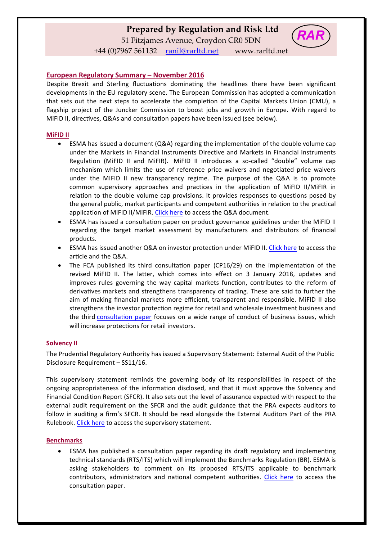# **Prepared by Regulation and Risk Ltd**

51 Fitzjames Avenue, Croydon CR0 5DN



+44 (0)7967 561132 ranil@rarltd.net www.rarltd.net

# **European Regulatory Summary – November 2016**

Despite Brexit and Sterling fluctuations dominating the headlines there have been significant developments in the EU regulatory scene. The European Commission has adopted a communication that sets out the next steps to accelerate the completion of the Capital Markets Union (CMU), a flagship project of the Juncker Commission to boost jobs and growth in Europe. With regard to MiFID II, directives, Q&As and consultation papers have been issued (see below).

## **MiFID II**

- ESMA has issued a document  $(Q&A)$  regarding the implementation of the double volume cap under the Markets in Financial Instruments Directive and Markets in Financial Instruments Regulation (MiFID II and MiFIR). MiFID II introduces a so-called "double" volume cap mechanism which limits the use of reference price waivers and negotiated price waivers under the MIFID II new transparency regime. The purpose of the Q&A is to promote common supervisory approaches and practices in the application of MiFID II/MiFIR in relation to the double volume cap provisions. It provides responses to questions posed by the general public, market participants and competent authorities in relation to the practical application of MiFID II/MiFIR. Click here to access the Q&A document.
- ESMA has issued a consultation paper on product governance guidelines under the MiFID II regarding the target market assessment by manufacturers and distributors of financial products.
- ESMA has issued another Q&A on investor protection under MiFID II. Click here to access the article and the Q&A.
- The FCA published its third consultation paper (CP16/29) on the implementation of the revised MiFID II. The latter, which comes into effect on 3 January 2018, updates and improves rules governing the way capital markets function, contributes to the reform of derivatives markets and strengthens transparency of trading. These are said to further the aim of making financial markets more efficient, transparent and responsible. MiFID II also strengthens the investor protection regime for retail and wholesale investment business and the third consultation paper focuses on a wide range of conduct of business issues, which will increase protections for retail investors.

# **Solvency II**

The Prudential Regulatory Authority has issued a Supervisory Statement: External Audit of the Public Disclosure Requirement - SS11/16.

This supervisory statement reminds the governing body of its responsibilities in respect of the ongoing appropriateness of the information disclosed, and that it must approve the Solvency and Financial Condition Report (SFCR). It also sets out the level of assurance expected with respect to the external audit requirement on the SFCR and the audit guidance that the PRA expects auditors to follow in auditing a firm's SFCR. It should be read alongside the External Auditors Part of the PRA Rulebook. Click here to access the supervisory statement.

#### **Benchmarks**

ESMA has published a consultation paper regarding its draft regulatory and implementing technical standards (RTS/ITS) which will implement the Benchmarks Regulation (BR). ESMA is asking stakeholders to comment on its proposed RTS/ITS applicable to benchmark contributors, administrators and national competent authorities. Click here to access the consultation paper.